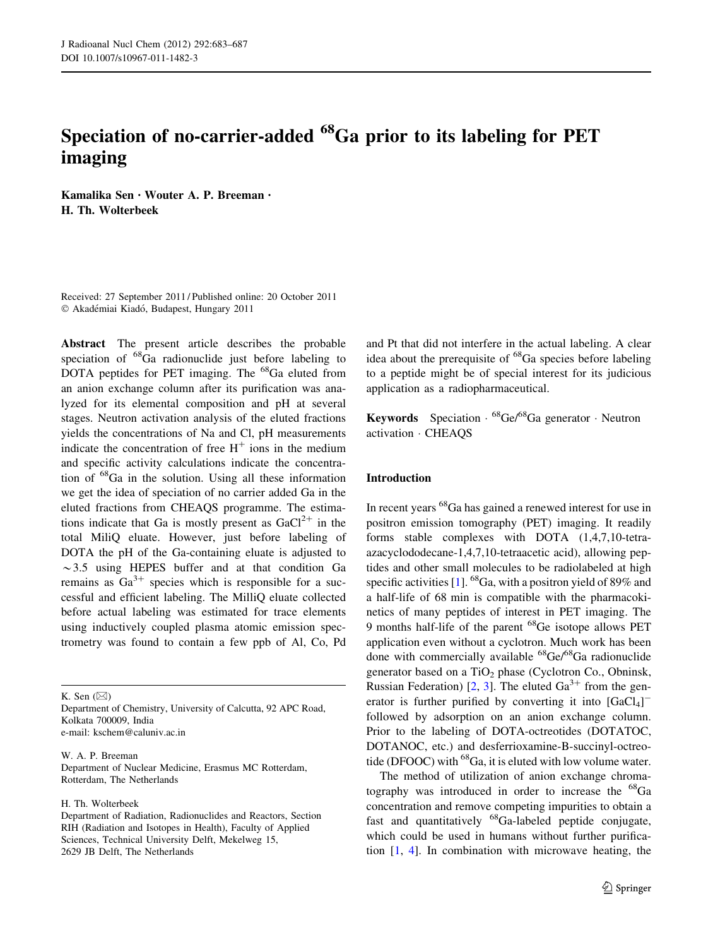# Speciation of no-carrier-added <sup>68</sup>Ga prior to its labeling for PET imaging

Kamalika Sen • Wouter A. P. Breeman • H. Th. Wolterbeek

Received: 27 September 2011 / Published online: 20 October 2011  $©$  Akadémiai Kiadó, Budapest, Hungary 2011

Abstract The present article describes the probable speciation of <sup>68</sup>Ga radionuclide just before labeling to DOTA peptides for PET imaging. The <sup>68</sup>Ga eluted from an anion exchange column after its purification was analyzed for its elemental composition and pH at several stages. Neutron activation analysis of the eluted fractions yields the concentrations of Na and Cl, pH measurements indicate the concentration of free  $H^+$  ions in the medium and specific activity calculations indicate the concentration of <sup>68</sup>Ga in the solution. Using all these information we get the idea of speciation of no carrier added Ga in the eluted fractions from CHEAQS programme. The estimations indicate that Ga is mostly present as  $GaCl<sup>2+</sup>$  in the total MiliQ eluate. However, just before labeling of DOTA the pH of the Ga-containing eluate is adjusted to  $\sim$  3.5 using HEPES buffer and at that condition Ga remains as  $Ga^{3+}$  species which is responsible for a successful and efficient labeling. The MilliQ eluate collected before actual labeling was estimated for trace elements using inductively coupled plasma atomic emission spectrometry was found to contain a few ppb of Al, Co, Pd

K. Sen  $(\boxtimes)$ 

Department of Chemistry, University of Calcutta, 92 APC Road, Kolkata 700009, India e-mail: kschem@caluniv.ac.in

W. A. P. Breeman Department of Nuclear Medicine, Erasmus MC Rotterdam, Rotterdam, The Netherlands

H. Th. Wolterbeek

and Pt that did not interfere in the actual labeling. A clear idea about the prerequisite of <sup>68</sup>Ga species before labeling to a peptide might be of special interest for its judicious application as a radiopharmaceutical.

Keywords Speciation · <sup>68</sup>Ge/<sup>68</sup>Ga generator · Neutron activation - CHEAQS

# Introduction

In recent years <sup>68</sup>Ga has gained a renewed interest for use in positron emission tomography (PET) imaging. It readily forms stable complexes with DOTA (1,4,7,10-tetraazacyclododecane-1,4,7,10-tetraacetic acid), allowing peptides and other small molecules to be radiolabeled at high specific activities  $[1]$  $[1]$ . <sup>68</sup>Ga, with a positron yield of 89% and a half-life of 68 min is compatible with the pharmacokinetics of many peptides of interest in PET imaging. The 9 months half-life of the parent <sup>68</sup>Ge isotope allows PET application even without a cyclotron. Much work has been done with commercially available <sup>68</sup>Ge/<sup>68</sup>Ga radionuclide generator based on a  $TiO<sub>2</sub>$  phase (Cyclotron Co., Obninsk, Russian Federation) [\[2](#page-4-0), [3\]](#page-4-0). The eluted  $Ga^{3+}$  from the generator is further purified by converting it into  $[GaCl_4]^$ followed by adsorption on an anion exchange column. Prior to the labeling of DOTA-octreotides (DOTATOC, DOTANOC, etc.) and desferrioxamine-B-succinyl-octreotide (DFOOC) with  $^{68}Ga$ , it is eluted with low volume water.

The method of utilization of anion exchange chromatography was introduced in order to increase the  ${}^{68}Ga$ concentration and remove competing impurities to obtain a fast and quantitatively <sup>68</sup>Ga-labeled peptide conjugate, which could be used in humans without further purification [[1,](#page-4-0) [4\]](#page-4-0). In combination with microwave heating, the

Department of Radiation, Radionuclides and Reactors, Section RIH (Radiation and Isotopes in Health), Faculty of Applied Sciences, Technical University Delft, Mekelweg 15, 2629 JB Delft, The Netherlands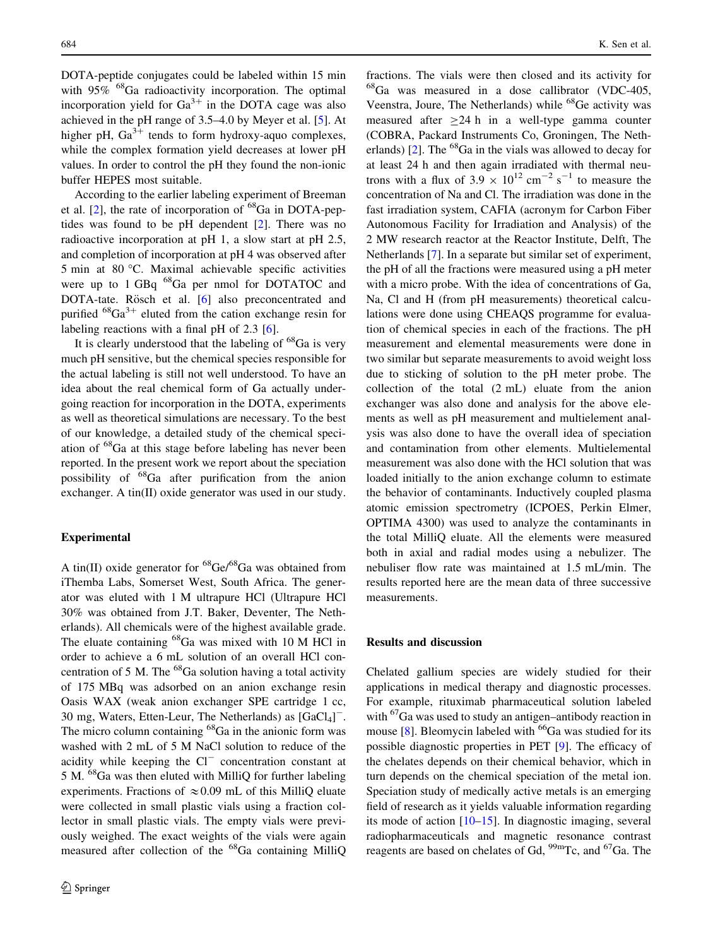DOTA-peptide conjugates could be labeled within 15 min with  $95\%$  <sup>68</sup>Ga radioactivity incorporation. The optimal incorporation yield for  $Ga^{3+}$  in the DOTA cage was also achieved in the pH range of 3.5–4.0 by Meyer et al. [[5\]](#page-4-0). At higher pH,  $Ga^{3+}$  tends to form hydroxy-aquo complexes, while the complex formation yield decreases at lower pH values. In order to control the pH they found the non-ionic buffer HEPES most suitable.

According to the earlier labeling experiment of Breeman et al.  $[2]$  $[2]$ , the rate of incorporation of  ${}^{68}Ga$  in DOTA-peptides was found to be pH dependent [\[2](#page-4-0)]. There was no radioactive incorporation at pH 1, a slow start at pH 2.5, and completion of incorporation at pH 4 was observed after 5 min at 80 C. Maximal achievable specific activities were up to 1 GBq <sup>68</sup>Ga per nmol for DOTATOC and DOTA-tate. Rösch et al. [\[6](#page-4-0)] also preconcentrated and purified  ${}^{68}Ga^{3+}$  eluted from the cation exchange resin for labeling reactions with a final pH of 2.3 [\[6](#page-4-0)].

It is clearly understood that the labeling of  ${}^{68}Ga$  is very much pH sensitive, but the chemical species responsible for the actual labeling is still not well understood. To have an idea about the real chemical form of Ga actually undergoing reaction for incorporation in the DOTA, experiments as well as theoretical simulations are necessary. To the best of our knowledge, a detailed study of the chemical speciation of <sup>68</sup>Ga at this stage before labeling has never been reported. In the present work we report about the speciation possibility of <sup>68</sup>Ga after purification from the anion exchanger. A tin(II) oxide generator was used in our study.

# Experimental

A tin(II) oxide generator for  ${}^{68}$ Ge/ ${}^{68}$ Ga was obtained from iThemba Labs, Somerset West, South Africa. The generator was eluted with 1 M ultrapure HCl (Ultrapure HCl 30% was obtained from J.T. Baker, Deventer, The Netherlands). All chemicals were of the highest available grade. The eluate containing <sup>68</sup>Ga was mixed with 10 M HCl in order to achieve a 6 mL solution of an overall HCl concentration of 5 M. The  $^{68}$ Ga solution having a total activity of 175 MBq was adsorbed on an anion exchange resin Oasis WAX (weak anion exchanger SPE cartridge 1 cc, 30 mg, Waters, Etten-Leur, The Netherlands) as [GaCl<sub>4</sub>]<sup>-</sup>. The micro column containing <sup>68</sup>Ga in the anionic form was washed with 2 mL of 5 M NaCl solution to reduce of the acidity while keeping the  $Cl^-$  concentration constant at 5 M. <sup>68</sup>Ga was then eluted with MilliQ for further labeling experiments. Fractions of  $\approx 0.09$  mL of this MilliQ eluate were collected in small plastic vials using a fraction collector in small plastic vials. The empty vials were previously weighed. The exact weights of the vials were again measured after collection of the <sup>68</sup>Ga containing MilliQ fractions. The vials were then closed and its activity for <sup>68</sup>Ga was measured in a dose callibrator (VDC-405, Veenstra, Joure, The Netherlands) while <sup>68</sup>Ge activity was measured after  $\geq$ 24 h in a well-type gamma counter (COBRA, Packard Instruments Co, Groningen, The Netherlands)  $[2]$  $[2]$ . The <sup>68</sup>Ga in the vials was allowed to decay for at least 24 h and then again irradiated with thermal neutrons with a flux of  $3.9 \times 10^{12}$  cm<sup>-2</sup> s<sup>-1</sup> to measure the concentration of Na and Cl. The irradiation was done in the fast irradiation system, CAFIA (acronym for Carbon Fiber Autonomous Facility for Irradiation and Analysis) of the 2 MW research reactor at the Reactor Institute, Delft, The Netherlands [\[7](#page-4-0)]. In a separate but similar set of experiment, the pH of all the fractions were measured using a pH meter with a micro probe. With the idea of concentrations of Ga, Na, Cl and H (from pH measurements) theoretical calculations were done using CHEAQS programme for evaluation of chemical species in each of the fractions. The pH measurement and elemental measurements were done in two similar but separate measurements to avoid weight loss due to sticking of solution to the pH meter probe. The collection of the total (2 mL) eluate from the anion exchanger was also done and analysis for the above elements as well as pH measurement and multielement analysis was also done to have the overall idea of speciation and contamination from other elements. Multielemental measurement was also done with the HCl solution that was loaded initially to the anion exchange column to estimate the behavior of contaminants. Inductively coupled plasma atomic emission spectrometry (ICPOES, Perkin Elmer, OPTIMA 4300) was used to analyze the contaminants in the total MilliQ eluate. All the elements were measured both in axial and radial modes using a nebulizer. The nebuliser flow rate was maintained at 1.5 mL/min. The results reported here are the mean data of three successive measurements.

#### Results and discussion

Chelated gallium species are widely studied for their applications in medical therapy and diagnostic processes. For example, rituximab pharmaceutical solution labeled with <sup>67</sup>Ga was used to study an antigen–antibody reaction in mouse [\[8](#page-4-0)]. Bleomycin labeled with  $^{66}$ Ga was studied for its possible diagnostic properties in PET [\[9](#page-4-0)]. The efficacy of the chelates depends on their chemical behavior, which in turn depends on the chemical speciation of the metal ion. Speciation study of medically active metals is an emerging field of research as it yields valuable information regarding its mode of action [\[10–15](#page-4-0)]. In diagnostic imaging, several radiopharmaceuticals and magnetic resonance contrast reagents are based on chelates of Gd, <sup>99m</sup>Tc, and <sup>67</sup>Ga. The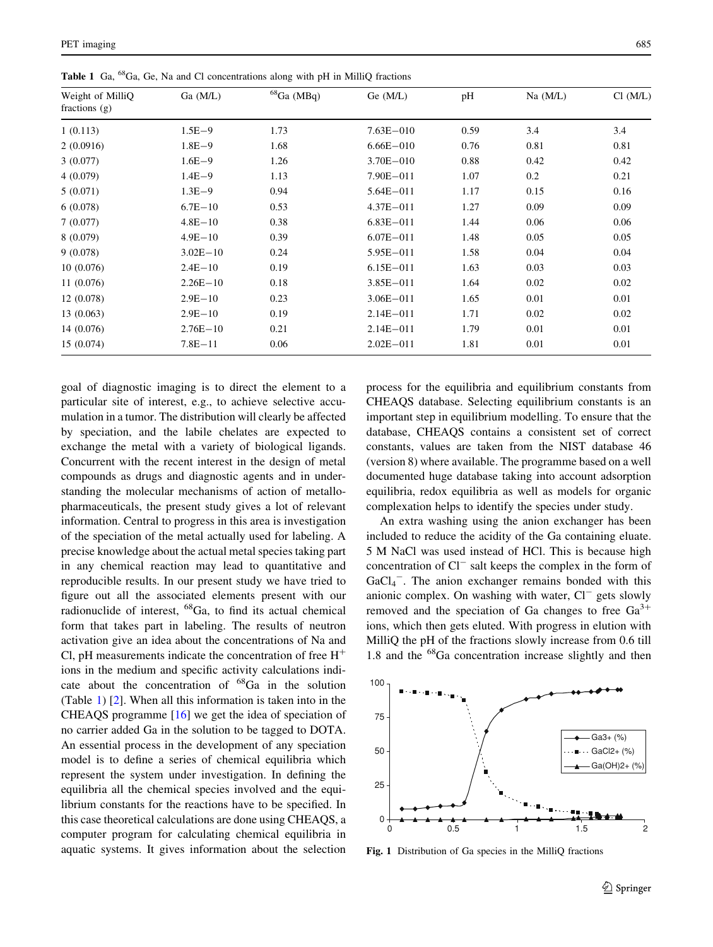| goal of diagnostic imaging is to direct the element to a<br>particular site of interest, e.g., to achieve selective accu-    |
|------------------------------------------------------------------------------------------------------------------------------|
| mulation in a tumor. The distribution will clearly be affected                                                               |
| by speciation, and the labile chelates are expected to                                                                       |
| exchange the metal with a variety of biological ligands.                                                                     |
| Concurrent with the recent interest in the design of metal                                                                   |
| compounds as drugs and diagnostic agents and in under-                                                                       |
| standing the molecular mechanisms of action of metallo-                                                                      |
| pharmaceuticals, the present study gives a lot of relevant                                                                   |
| information. Central to progress in this area is investigation                                                               |
| of the speciation of the metal actually used for labeling. A<br>precise knowledge about the actual metal species taking part |
| in any chemical reaction may lead to quantitative and                                                                        |
| reproducible results. In our present study we have tried to                                                                  |
| figure out all the associated elements present with our                                                                      |
| radionuclide of interest, <sup>68</sup> Ga, to find its actual chemical                                                      |
| form that takes part in labeling. The results of neutron                                                                     |
| activation give an idea about the concentrations of Na and                                                                   |
| Cl, pH measurements indicate the concentration of free $H^+$                                                                 |
| ions in the medium and specific activity calculations indi-                                                                  |
| cate about the concentration of <sup>68</sup> Ga in the solution                                                             |
| (Table 1) [2]. When all this information is taken into in the                                                                |
| CHEAQS programme $[16]$ we get the idea of speciation of                                                                     |
| no carrier added Ga in the solution to be tagged to DOTA.<br>An essential process in the development of any speciation       |
| model is to define a series of chemical equilibria which                                                                     |
| represent the system under investigation. In defining the                                                                    |
| equilibria all the chemical species involved and the equi-                                                                   |
| librium constants for the reactions have to be specified. In                                                                 |
| this case theoretical calculations are done using CHEAQS, a                                                                  |
| computer program for calculating chemical equilibria in                                                                      |
| aquatic systems. It gives information about the selection                                                                    |

process for the equilibria and equilibrium constants from CHEAQS database. Selecting equilibrium constants is an important step in equilibrium modelling. To ensure that the database, CHEAQS contains a consistent set of correct constants, values are taken from the NIST database 46 (version 8) where available. The programme based on a well documented huge database taking into account adsorption equilibria, redox equilibria as well as models for organic complexation helps to identify the species under study.

An extra washing using the anion exchanger has been included to reduce the acidity of the Ga containing eluate. 5 M NaCl was used instead of HCl. This is because high concentration of Cl<sup>-</sup> salt keeps the complex in the form of GaCl<sub>4</sub><sup>-</sup>. The anion exchanger remains bonded with this anionic complex. On washing with water,  $Cl^-$  gets slowly removed and the speciation of Ga changes to free  $Ga^{3+}$ ions, which then gets eluted. With progress in elution with MilliQ the pH of the fractions slowly increase from 0.6 till 1.8 and the <sup>68</sup>Ga concentration increase slightly and then



25

50

75

100

Ga3+ (%)  $-$  GaCl2+  $(%)$ - Ga(OH)2+ (%

<span id="page-2-0"></span>

| Weight of MilliQ<br>fractions $(g)$ | Ga (M/L)     | ${}^{68}Ga$ (MBq) | Ge(M/L)       | pH   | $Na$ $(M/L)$ | Cl (M/L) |
|-------------------------------------|--------------|-------------------|---------------|------|--------------|----------|
| 1(0.113)                            | $1.5E - 9$   | 1.73              | $7.63E - 010$ | 0.59 | 3.4          | 3.4      |
| 2(0.0916)                           | $1.8E - 9$   | 1.68              | $6.66E - 010$ | 0.76 | 0.81         | 0.81     |
| 3(0.077)                            | $1.6E - 9$   | 1.26              | $3.70E - 010$ | 0.88 | 0.42         | 0.42     |
| 4(0.079)                            | $1.4E - 9$   | 1.13              | $7.90E - 011$ | 1.07 | 0.2          | 0.21     |
| 5(0.071)                            | $1.3E - 9$   | 0.94              | $5.64E - 011$ | 1.17 | 0.15         | 0.16     |
| 6(0.078)                            | $6.7E - 10$  | 0.53              | $4.37E - 011$ | 1.27 | 0.09         | 0.09     |
| 7(0.077)                            | $4.8E - 10$  | 0.38              | $6.83E - 011$ | 1.44 | 0.06         | 0.06     |
| 8 (0.079)                           | $4.9E - 10$  | 0.39              | $6.07E - 011$ | 1.48 | 0.05         | 0.05     |
| 9(0.078)                            | $3.02E - 10$ | 0.24              | $5.95E - 011$ | 1.58 | 0.04         | 0.04     |
| 10(0.076)                           | $2.4E - 10$  | 0.19              | $6.15E - 011$ | 1.63 | 0.03         | 0.03     |
| 11(0.076)                           | $2.26E - 10$ | 0.18              | $3.85E - 011$ | 1.64 | 0.02         | 0.02     |
| 12 (0.078)                          | $2.9E - 10$  | 0.23              | $3.06E - 011$ | 1.65 | 0.01         | 0.01     |
| 13 (0.063)                          | $2.9E - 10$  | 0.19              | $2.14E - 011$ | 1.71 | 0.02         | 0.02     |
| 14 (0.076)                          | $2.76E - 10$ | 0.21              | $2.14E - 011$ | 1.79 | 0.01         | 0.01     |
| 15(0.074)                           | $7.8E - 11$  | 0.06              | $2.02E - 011$ | 1.81 | 0.01         | 0.01     |

Table 1 Ga, <sup>68</sup>Ga, Ge, Na and Cl concentrations along with pH in MilliQ fractions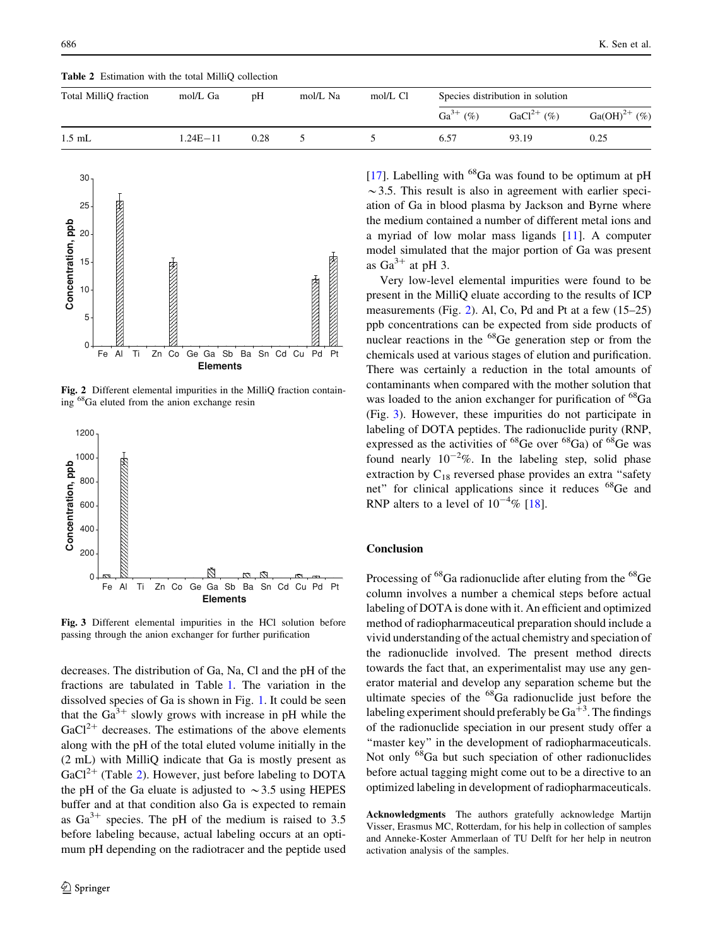| Total MilliQ fraction | mol/L Ga     | pΗ   | mol/L Na | mol/L Cl | Species distribution in solution |                 |                   |
|-----------------------|--------------|------|----------|----------|----------------------------------|-----------------|-------------------|
|                       |              |      |          |          | $Ga^{3+}$ (%)                    | $GaCl^{2+}$ (%) | $Ga(OH)^{2+}$ (%) |
| $1.5$ mL              | $1.24E - 11$ | 0.28 |          |          | 6.57                             | 93.19           | 0.25              |

Table 2 Estimation with the total MilliO collection



Fig. 2 Different elemental impurities in the MilliQ fraction containing <sup>68</sup>Ga eluted from the anion exchange resin



Fig. 3 Different elemental impurities in the HCl solution before passing through the anion exchanger for further purification

decreases. The distribution of Ga, Na, Cl and the pH of the fractions are tabulated in Table [1.](#page-2-0) The variation in the dissolved species of Ga is shown in Fig. [1.](#page-2-0) It could be seen that the  $Ga^{3+}$  slowly grows with increase in pH while the  $GaCl<sup>2+</sup>$  decreases. The estimations of the above elements along with the pH of the total eluted volume initially in the (2 mL) with MilliQ indicate that Ga is mostly present as  $GaCl<sup>2+</sup>$  (Table 2). However, just before labeling to DOTA the pH of the Ga eluate is adjusted to  $\sim$  3.5 using HEPES buffer and at that condition also Ga is expected to remain as  $Ga^{3+}$  species. The pH of the medium is raised to 3.5 before labeling because, actual labeling occurs at an optimum pH depending on the radiotracer and the peptide used [\[17](#page-4-0)]. Labelling with  $^{68}$ Ga was found to be optimum at pH  $\sim$ 3.5. This result is also in agreement with earlier speciation of Ga in blood plasma by Jackson and Byrne where the medium contained a number of different metal ions and a myriad of low molar mass ligands [\[11](#page-4-0)]. A computer model simulated that the major portion of Ga was present as  $Ga^{3+}$  at pH 3.

Very low-level elemental impurities were found to be present in the MilliQ eluate according to the results of ICP measurements (Fig. 2). Al, Co, Pd and Pt at a few (15–25) ppb concentrations can be expected from side products of nuclear reactions in the <sup>68</sup>Ge generation step or from the chemicals used at various stages of elution and purification. There was certainly a reduction in the total amounts of contaminants when compared with the mother solution that was loaded to the anion exchanger for purification of <sup>68</sup>Ga (Fig. 3). However, these impurities do not participate in labeling of DOTA peptides. The radionuclide purity (RNP, expressed as the activities of  ${}^{68}$ Ge over  ${}^{68}$ Ga) of  ${}^{68}$ Ge was found nearly  $10^{-2}\%$ . In the labeling step, solid phase extraction by  $C_{18}$  reversed phase provides an extra "safety" net'' for clinical applications since it reduces <sup>68</sup>Ge and RNP alters to a level of  $10^{-4}\%$  [[18\]](#page-4-0).

# **Conclusion**

Processing of <sup>68</sup>Ga radionuclide after eluting from the <sup>68</sup>Ge column involves a number a chemical steps before actual labeling of DOTA is done with it. An efficient and optimized method of radiopharmaceutical preparation should include a vivid understanding of the actual chemistry and speciation of the radionuclide involved. The present method directs towards the fact that, an experimentalist may use any generator material and develop any separation scheme but the ultimate species of the  ${}^{68}Ga$  radionuclide just before the labeling experiment should preferably be  $Ga^{\frac{1}{3}}$ . The findings of the radionuclide speciation in our present study offer a "master key" in the development of radiopharmaceuticals. Not only <sup>68</sup>Ga but such speciation of other radionuclides before actual tagging might come out to be a directive to an optimized labeling in development of radiopharmaceuticals.

Acknowledgments The authors gratefully acknowledge Martijn Visser, Erasmus MC, Rotterdam, for his help in collection of samples and Anneke-Koster Ammerlaan of TU Delft for her help in neutron activation analysis of the samples.